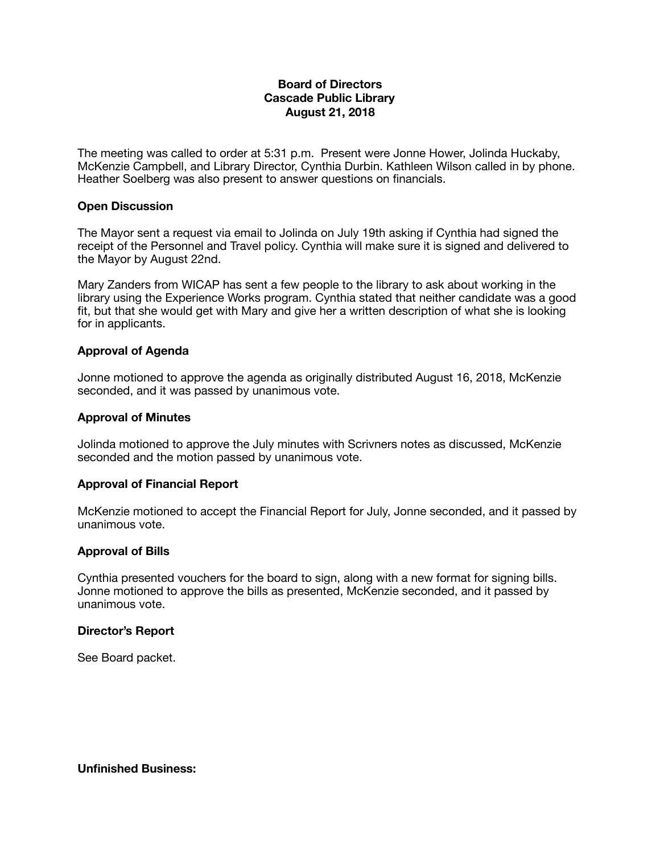## **Board of Directors Cascade Public Library August 21, 2018**

The meeting was called to order at 5:31 p.m. Present were Jonne Hower, Jolinda Huckaby, McKenzie Campbell, and Library Director, Cynthia Durbin. Kathleen Wilson called in by phone. Heather Soelberg was also present to answer questions on financials.

### **Open Discussion**

The Mayor sent a request via email to Jolinda on July 19th asking if Cynthia had signed the receipt of the Personnel and Travel policy. Cynthia will make sure it is signed and delivered to the Mayor by August 22nd.

Mary Zanders from WICAP has sent a few people to the library to ask about working in the library using the Experience Works program. Cynthia stated that neither candidate was a good fit, but that she would get with Mary and give her a written description of what she is looking for in applicants.

## **Approval of Agenda**

Jonne motioned to approve the agenda as originally distributed August 16, 2018, McKenzie seconded, and it was passed by unanimous vote.

#### **Approval of Minutes**

Jolinda motioned to approve the July minutes with Scrivners notes as discussed, McKenzie seconded and the motion passed by unanimous vote.

## **Approval of Financial Report**

McKenzie motioned to accept the Financial Report for July, Jonne seconded, and it passed by unanimous vote.

#### **Approval of Bills**

Cynthia presented vouchers for the board to sign, along with a new format for signing bills. Jonne motioned to approve the bills as presented, McKenzie seconded, and it passed by unanimous vote.

#### **Director's Report**

See Board packet.

**Unfinished Business:**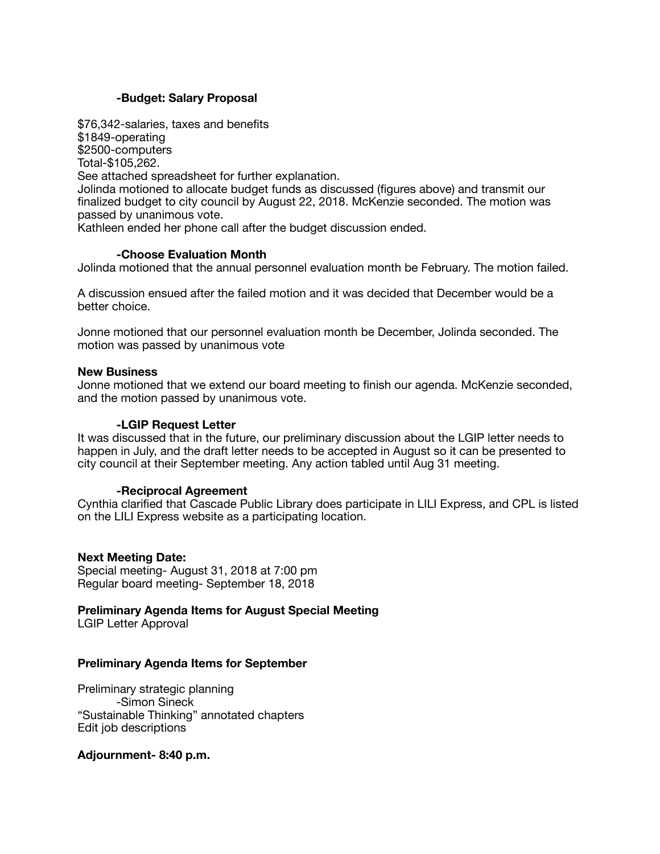## **-Budget: Salary Proposal**

\$76,342-salaries, taxes and benefits \$1849-operating \$2500-computers Total-\$105,262. See attached spreadsheet for further explanation. Jolinda motioned to allocate budget funds as discussed (figures above) and transmit our finalized budget to city council by August 22, 2018. McKenzie seconded. The motion was passed by unanimous vote. Kathleen ended her phone call after the budget discussion ended.

# **-Choose Evaluation Month**

Jolinda motioned that the annual personnel evaluation month be February. The motion failed.

A discussion ensued after the failed motion and it was decided that December would be a better choice.

Jonne motioned that our personnel evaluation month be December, Jolinda seconded. The motion was passed by unanimous vote

#### **New Business**

Jonne motioned that we extend our board meeting to finish our agenda. McKenzie seconded, and the motion passed by unanimous vote.

#### **-LGIP Request Letter**

It was discussed that in the future, our preliminary discussion about the LGIP letter needs to happen in July, and the draft letter needs to be accepted in August so it can be presented to city council at their September meeting. Any action tabled until Aug 31 meeting.

#### **-Reciprocal Agreement**

Cynthia clarified that Cascade Public Library does participate in LILI Express, and CPL is listed on the LILI Express website as a participating location.

#### **Next Meeting Date:**

Special meeting- August 31, 2018 at 7:00 pm Regular board meeting- September 18, 2018

**Preliminary Agenda Items for August Special Meeting** 

LGIP Letter Approval

#### **Preliminary Agenda Items for September**

Preliminary strategic planning -Simon Sineck "Sustainable Thinking" annotated chapters Edit job descriptions

## **Adjournment- 8:40 p.m.**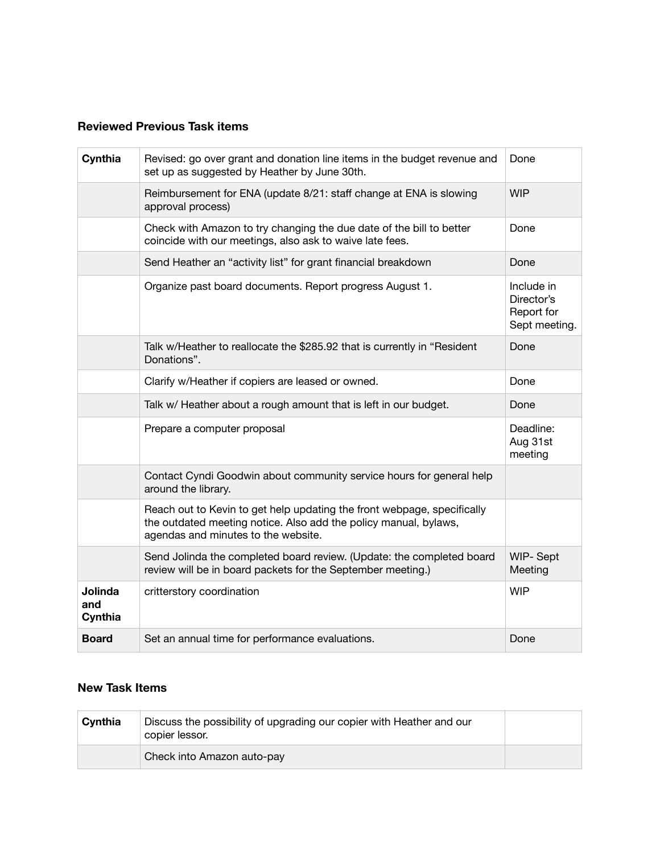## **Reviewed Previous Task items**

| Cynthia                          | Revised: go over grant and donation line items in the budget revenue and<br>set up as suggested by Heather by June 30th.                                                           | Done                                                    |
|----------------------------------|------------------------------------------------------------------------------------------------------------------------------------------------------------------------------------|---------------------------------------------------------|
|                                  | Reimbursement for ENA (update 8/21: staff change at ENA is slowing<br>approval process)                                                                                            | <b>WIP</b>                                              |
|                                  | Check with Amazon to try changing the due date of the bill to better<br>coincide with our meetings, also ask to waive late fees.                                                   | Done                                                    |
|                                  | Send Heather an "activity list" for grant financial breakdown                                                                                                                      | Done                                                    |
|                                  | Organize past board documents. Report progress August 1.                                                                                                                           | Include in<br>Director's<br>Report for<br>Sept meeting. |
|                                  | Talk w/Heather to reallocate the \$285.92 that is currently in "Resident"<br>Donations".                                                                                           | Done                                                    |
|                                  | Clarify w/Heather if copiers are leased or owned.                                                                                                                                  | Done                                                    |
|                                  | Talk w/ Heather about a rough amount that is left in our budget.                                                                                                                   | Done                                                    |
|                                  | Prepare a computer proposal                                                                                                                                                        | Deadline:<br>Aug 31st<br>meeting                        |
|                                  | Contact Cyndi Goodwin about community service hours for general help<br>around the library.                                                                                        |                                                         |
|                                  | Reach out to Kevin to get help updating the front webpage, specifically<br>the outdated meeting notice. Also add the policy manual, bylaws,<br>agendas and minutes to the website. |                                                         |
|                                  | Send Jolinda the completed board review. (Update: the completed board<br>review will be in board packets for the September meeting.)                                               | WIP-Sept<br>Meeting                                     |
| <b>Jolinda</b><br>and<br>Cynthia | critterstory coordination                                                                                                                                                          | <b>WIP</b>                                              |
| <b>Board</b>                     | Set an annual time for performance evaluations.                                                                                                                                    | Done                                                    |

## **New Task Items**

| Cynthia | Discuss the possibility of upgrading our copier with Heather and our<br>copier lessor. |  |
|---------|----------------------------------------------------------------------------------------|--|
|         | Check into Amazon auto-pay                                                             |  |